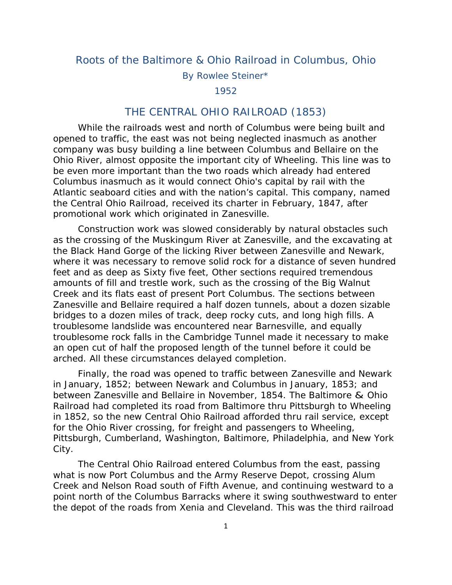## Roots of the Baltimore & Ohio Railroad in Columbus, Ohio

By Rowlee Steiner\*

1952

## THE CENTRAL OHIO RAILROAD (1853)

 While the railroads west and north of Columbus were being built and opened to traffic, the east was not being neglected inasmuch as another company was busy building a line between Columbus and Bellaire on the Ohio River, almost opposite the important city of Wheeling. This line was to be even more important than the two roads which already had entered Columbus inasmuch as it would connect Ohio's capital by rail with the Atlantic seaboard cities and with the nation's capital. This company, named the Central Ohio Railroad, received its charter in February, 1847, after promotional work which originated in Zanesville.

 Construction work was slowed considerably by natural obstacles such as the crossing of the Muskingum River at Zanesville, and the excavating at the Black Hand Gorge of the licking River between Zanesville and Newark, where it was necessary to remove solid rock for a distance of seven hundred feet and as deep as Sixty five feet, Other sections required tremendous amounts of fill and trestle work, such as the crossing of the Big Walnut Creek and its flats east of present Port Columbus. The sections between Zanesville and Bellaire required a half dozen tunnels, about a dozen sizable bridges to a dozen miles of track, deep rocky cuts, and long high fills. A troublesome landslide was encountered near Barnesville, and equally troublesome rock falls in the Cambridge Tunnel made it necessary to make an open cut of half the proposed length of the tunnel before it could be arched. All these circumstances delayed completion.

 Finally, the road was opened to traffic between Zanesville and Newark in January, 1852; between Newark and Columbus in January, 1853; and between Zanesville and Bellaire in November, 1854. The Baltimore & Ohio Railroad had completed its road from Baltimore thru Pittsburgh to Wheeling in 1852, so the new Central Ohio Railroad afforded thru rail service, except for the Ohio River crossing, for freight and passengers to Wheeling, Pittsburgh, Cumberland, Washington, Baltimore, Philadelphia, and New York City.

 The Central Ohio Railroad entered Columbus from the east, passing what is now Port Columbus and the Army Reserve Depot, crossing Alum Creek and Nelson Road south of Fifth Avenue, and continuing westward to a point north of the Columbus Barracks where it swing southwestward to enter the depot of the roads from Xenia and Cleveland. This was the third railroad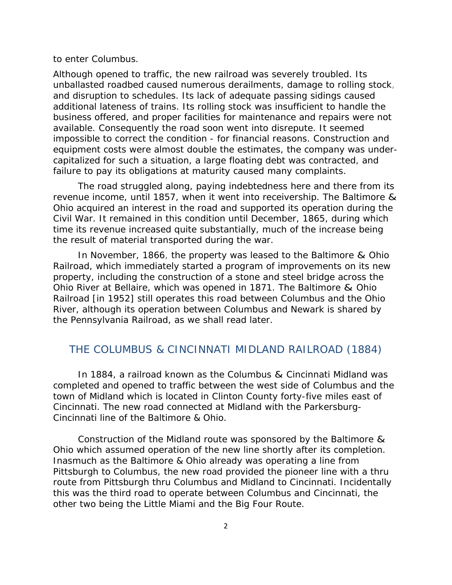to enter Columbus.

Although opened to traffic, the new railroad was severely troubled. Its unballasted roadbed caused numerous derailments, damage to rolling stock, and disruption to schedules. Its lack of adequate passing sidings caused additional lateness of trains. Its rolling stock was insufficient to handle the business offered, and proper facilities for maintenance and repairs were not available. Consequently the road soon went into disrepute. It seemed impossible to correct the condition - for financial reasons. Construction and equipment costs were almost double the estimates, the company was undercapitalized for such a situation, a large floating debt was contracted, and failure to pay its obligations at maturity caused many complaints.

 The road struggled along, paying indebtedness here and there from its revenue income, until 1857, when it went into receivership. The Baltimore & Ohio acquired an interest in the road and supported its operation during the Civil War. It remained in this condition until December, 1865, during which time its revenue increased quite substantially, much of the increase being the result of material transported during the war.

 In November, 1866, the property was leased to the Baltimore & Ohio Railroad, which immediately started a program of improvements on its new property, including the construction of a stone and steel bridge across the Ohio River at Bellaire, which was opened in 1871. The Baltimore & Ohio Railroad [in 1952] still operates this road between Columbus and the Ohio River, although its operation between Columbus and Newark is shared by the Pennsylvania Railroad, as we shall read later.

## THE COLUMBUS & CINCINNATI MIDLAND RAILROAD (1884)

 In 1884, a railroad known as the Columbus & Cincinnati Midland was completed and opened to traffic between the west side of Columbus and the town of Midland which is located in Clinton County forty-five miles east of Cincinnati. The new road connected at Midland with the Parkersburg-Cincinnati line of the Baltimore & Ohio.

 Construction of the Midland route was sponsored by the Baltimore & Ohio which assumed operation of the new line shortly after its completion. Inasmuch as the Baltimore & Ohio already was operating a line from Pittsburgh to Columbus, the new road provided the pioneer line with a thru route from Pittsburgh thru Columbus and Midland to Cincinnati. Incidentally this was the third road to operate between Columbus and Cincinnati, the other two being the Little Miami and the Big Four Route.